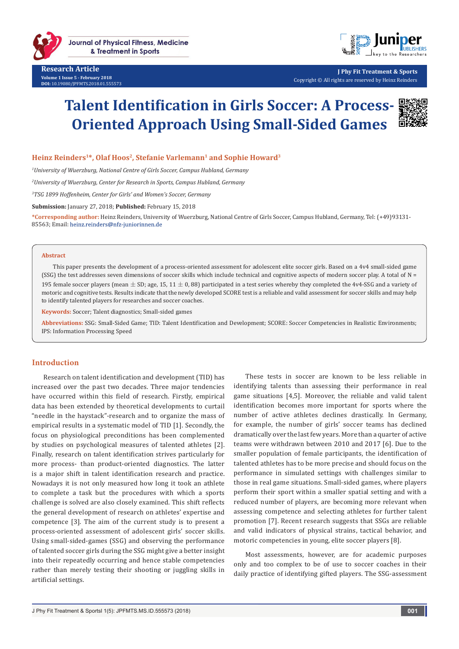

**Journal of Physical Fitness, Medicine** & Treatment in Sports

**Research Article Volume 1 Issue 5 - February 2018 DOI:** [10.19080/JPFMTS.2018.01.555573](http://dx.doi.org/10.19080/JPFMTS.2018.01.555573
)



**J Phy Fit Treatment & Sports** Copyright © All rights are reserved by Heinz Reinders

# **Talent Identification in Girls Soccer: A Process-Oriented Approach Using Small-Sided Games**



#### Heinz Reinders<sup>1\*</sup>, Olaf Hoos<sup>2</sup>, Stefanie Varlemann<sup>1</sup> and Sophie Howard<sup>3</sup>

*1 University of Wuerzburg, National Centre of Girls Soccer, Campus Hubland, Germany*

*2 University of Wuerzburg, Center for Research in Sports, Campus Hubland, Germany*

*3 TSG 1899 Hoffenheim, Center for Girls' and Women's Soccer, Germany*

**Submission:** January 27, 2018; **Published:** February 15, 2018

**\*Corresponding author:** Heinz Reinders, University of Wuerzburg, National Centre of Girls Soccer, Campus Hubland, Germany, Tel: (+49)93131- 85563; Email: heinz.reinders@nfz-juniorinnen.de

#### **Abstract**

This paper presents the development of a process-oriented assessment for adolescent elite soccer girls. Based on a 4v4 small-sided game (SSG) the test addresses seven dimensions of soccer skills which include technical and cognitive aspects of modern soccer play. A total of N = 195 female soccer players (mean  $\pm$  SD; age, 15, 11  $\pm$  0, 88) participated in a test series whereby they completed the 4v4-SSG and a variety of motoric and cognitive tests. Results indicate that the newly developed SCORE test is a reliable and valid assessment for soccer skills and may help to identify talented players for researches and soccer coaches.

**Keywords:** Soccer; Talent diagnostics; Small-sided games

**Abbreviations:** SSG: Small-Sided Game; TID: Talent Identification and Development; SCORE: Soccer Competencies in Realistic Environments; IPS: Information Processing Speed

#### **Introduction**

Research on talent identification and development (TID) has increased over the past two decades. Three major tendencies have occurred within this field of research. Firstly, empirical data has been extended by theoretical developments to curtail "needle in the haystack"-research and to organize the mass of empirical results in a systematic model of TID [1]. Secondly, the focus on physiological preconditions has been complemented by studies on psychological measures of talented athletes [2]. Finally, research on talent identification strives particularly for more process- than product-oriented diagnostics. The latter is a major shift in talent identification research and practice. Nowadays it is not only measured how long it took an athlete to complete a task but the procedures with which a sports challenge is solved are also closely examined. This shift reflects the general development of research on athletes' expertise and competence [3]. The aim of the current study is to present a process-oriented assessment of adolescent girls' soccer skills. Using small-sided-games (SSG) and observing the performance of talented soccer girls during the SSG might give a better insight into their repeatedly occurring and hence stable competencies rather than merely testing their shooting or juggling skills in artificial settings.

These tests in soccer are known to be less reliable in identifying talents than assessing their performance in real game situations [4,5]. Moreover, the reliable and valid talent identification becomes more important for sports where the number of active athletes declines drastically. In Germany, for example, the number of girls' soccer teams has declined dramatically over the last few years. More than a quarter of active teams were withdrawn between 2010 and 2017 [6]. Due to the smaller population of female participants, the identification of talented athletes has to be more precise and should focus on the performance in simulated settings with challenges similar to those in real game situations. Small-sided games, where players perform their sport within a smaller spatial setting and with a reduced number of players, are becoming more relevant when assessing competence and selecting athletes for further talent promotion [7]. Recent research suggests that SSGs are reliable and valid indicators of physical strains, tactical behavior, and motoric competencies in young, elite soccer players [8].

Most assessments, however, are for academic purposes only and too complex to be of use to soccer coaches in their daily practice of identifying gifted players. The SSG-assessment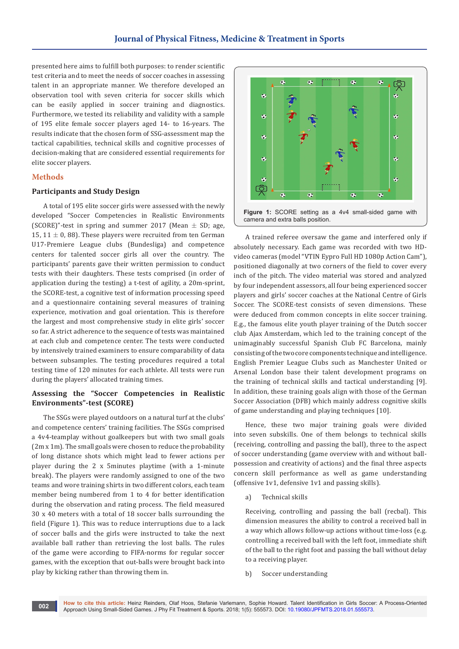presented here aims to fulfill both purposes: to render scientific test criteria and to meet the needs of soccer coaches in assessing talent in an appropriate manner. We therefore developed an observation tool with seven criteria for soccer skills which can be easily applied in soccer training and diagnostics. Furthermore, we tested its reliability and validity with a sample of 195 elite female soccer players aged 14- to 16-years. The results indicate that the chosen form of SSG-assessment map the tactical capabilities, technical skills and cognitive processes of decision-making that are considered essential requirements for elite soccer players.

### **Methods**

#### **Participants and Study Design**

A total of 195 elite soccer girls were assessed with the newly developed "Soccer Competencies in Realistic Environments (SCORE)"-test in spring and summer 2017 (Mean  $\pm$  SD; age, 15, 11  $\pm$  0, 88). These players were recruited from ten German U17-Premiere League clubs (Bundesliga) and competence centers for talented soccer girls all over the country. The participants' parents gave their written permission to conduct tests with their daughters. These tests comprised (in order of application during the testing) a t-test of agility, a 20m-sprint, the SCORE-test, a cognitive test of information processing speed and a questionnaire containing several measures of training experience, motivation and goal orientation. This is therefore the largest and most comprehensive study in elite girls' soccer so far. A strict adherence to the sequence of tests was maintained at each club and competence center. The tests were conducted by intensively trained examiners to ensure comparability of data between subsamples. The testing procedures required a total testing time of 120 minutes for each athlete. All tests were run during the players' allocated training times.

### **Assessing the "Soccer Competencies in Realistic Environments"-test (SCORE)**

The SSGs were played outdoors on a natural turf at the clubs' and competence centers' training facilities. The SSGs comprised a 4v4-teamplay without goalkeepers but with two small goals (2m x 1m). The small goals were chosen to reduce the probability of long distance shots which might lead to fewer actions per player during the 2 x 5minutes playtime (with a 1-minute break). The players were randomly assigned to one of the two teams and wore training shirts in two different colors, each team member being numbered from 1 to 4 for better identification during the observation and rating process. The field measured 30 x 40 meters with a total of 18 soccer balls surrounding the field (Figure 1). This was to reduce interruptions due to a lack of soccer balls and the girls were instructed to take the next available ball rather than retrieving the lost balls. The rules of the game were according to FIFA-norms for regular soccer games, with the exception that out-balls were brought back into play by kicking rather than throwing them in.



A trained referee oversaw the game and interfered only if absolutely necessary. Each game was recorded with two HDvideo cameras (model "VTIN Eypro Full HD 1080p Action Cam"), positioned diagonally at two corners of the field to cover every inch of the pitch. The video material was stored and analyzed by four independent assessors, all four being experienced soccer players and girls' soccer coaches at the National Centre of Girls Soccer. The SCORE-test consists of seven dimensions. These were deduced from common concepts in elite soccer training. E.g., the famous elite youth player training of the Dutch soccer club Ajax Amsterdam, which led to the training concept of the unimaginably successful Spanish Club FC Barcelona, mainly consisting of the two core components technique and intelligence. English Premier League Clubs such as Manchester United or Arsenal London base their talent development programs on the training of technical skills and tactical understanding [9]. In addition, these training goals align with those of the German Soccer Association (DFB) which mainly address cognitive skills of game understanding and playing techniques [10].

Hence, these two major training goals were divided into seven subskills. One of them belongs to technical skills (receiving, controlling and passing the ball), three to the aspect of soccer understanding (game overview with and without ballpossession and creativity of actions) and the final three aspects concern skill performance as well as game understanding (offensive 1v1, defensive 1v1 and passing skills).

a) Technical skills

Receiving, controlling and passing the ball (recbal). This dimension measures the ability to control a received ball in a way which allows follow-up actions without time-loss (e.g. controlling a received ball with the left foot, immediate shift of the ball to the right foot and passing the ball without delay to a receiving player.

b) Soccer understanding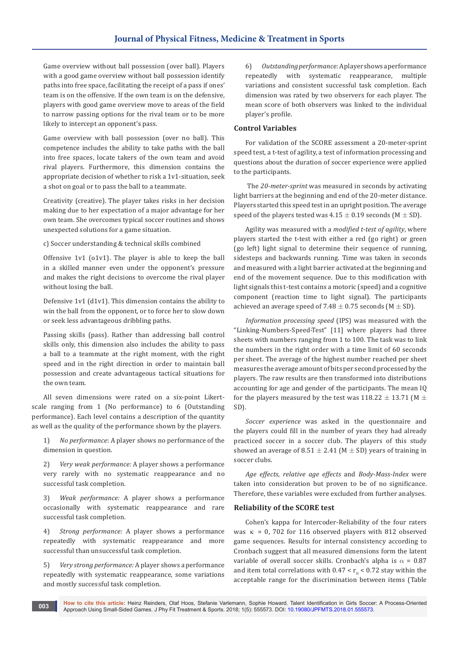Game overview without ball possession (over ball). Players with a good game overview without ball possession identify paths into free space, facilitating the receipt of a pass if ones' team is on the offensive. If the own team is on the defensive, players with good game overview move to areas of the field to narrow passing options for the rival team or to be more likely to intercept an opponent's pass.

Game overview with ball possession (over no ball). This competence includes the ability to take paths with the ball into free spaces, locate takers of the own team and avoid rival players. Furthermore, this dimension contains the appropriate decision of whether to risk a 1v1-situation, seek a shot on goal or to pass the ball to a teammate.

Creativity (creative). The player takes risks in her decision making due to her expectation of a major advantage for her own team. She overcomes typical soccer routines and shows unexpected solutions for a game situation.

c) Soccer understanding & technical skills combined

Offensive 1v1 (o1v1). The player is able to keep the ball in a skilled manner even under the opponent's pressure and makes the right decisions to overcome the rival player without losing the ball.

Defensive 1v1 (d1v1). This dimension contains the ability to win the ball from the opponent, or to force her to slow down or seek less advantageous dribbling paths.

Passing skills (pass). Rather than addressing ball control skills only, this dimension also includes the ability to pass a ball to a teammate at the right moment, with the right speed and in the right direction in order to maintain ball possession and create advantageous tactical situations for the own team.

All seven dimensions were rated on a six-point Likertscale ranging from 1 (No performance) to 6 (Outstanding performance). Each level contains a description of the quantity as well as the quality of the performance shown by the players.

1) *No performance*: A player shows no performance of the dimension in question.

2) *Very weak performance:* A player shows a performance very rarely with no systematic reappearance and no successful task completion.

3) *Weak performance:* A player shows a performance occasionally with systematic reappearance and rare successful task completion.

4) *Strong performance:* A player shows a performance repeatedly with systematic reappearance and more successful than unsuccessful task completion.

5) *Very strong performance:* A player shows a performance repeatedly with systematic reappearance, some variations and mostly successful task completion.

6) *Outstanding performance:* A player shows a performance repeatedly with systematic reappearance, multiple variations and consistent successful task completion. Each dimension was rated by two observers for each player. The mean score of both observers was linked to the individual player's profile.

## **Control Variables**

For validation of the SCORE assessment a 20-meter-sprint speed test, a t-test of agility, a test of information processing and questions about the duration of soccer experience were applied to the participants.

 The *20-meter-sprint* was measured in seconds by activating light barriers at the beginning and end of the 20-meter distance. Players started this speed test in an upright position. The average speed of the players tested was  $4.15 \pm 0.19$  seconds (M  $\pm$  SD).

Agility was measured with a *modified t-test of agility*, where players started the t-test with either a red (go right) or green (go left) light signal to determine their sequence of running, sidesteps and backwards running. Time was taken in seconds and measured with a light barrier activated at the beginning and end of the movement sequence. Due to this modification with light signals this t-test contains a motoric (speed) and a cognitive component (reaction time to light signal). The participants achieved an average speed of 7.48  $\pm$  0.75 seconds (M  $\pm$  SD).

*Information processing speed* (IPS) was measured with the "Linking-Numbers-Speed-Test" [11] where players had three sheets with numbers ranging from 1 to 100. The task was to link the numbers in the right order with a time limit of 60 seconds per sheet. The average of the highest number reached per sheet measures the average amount of bits per second processed by the players. The raw results are then transformed into distributions accounting for age and gender of the participants. The mean IQ for the players measured by the test was  $118.22 \pm 13.71$  (M  $\pm$ SD).

*Soccer experience* was asked in the questionnaire and the players could fill in the number of years they had already practiced soccer in a soccer club. The players of this study showed an average of  $8.51 \pm 2.41$  (M  $\pm$  SD) years of training in soccer clubs.

*Age effects, relative age effects* and *Body-Mass-Index* were taken into consideration but proven to be of no significance. Therefore, these variables were excluded from further analyses.

# **Reliability of the SCORE test**

Cohen's kappa for Intercoder-Reliability of the four raters was  $\kappa$  = 0, 702 for 116 observed players with 812 observed game sequences. Results for internal consistency according to Cronbach suggest that all measured dimensions form the latent variable of overall soccer skills. Cronbach's alpha is  $\alpha = 0.87$ and item total correlations with  $0.47 < r_{\text{th}} < 0.72$  stay within the acceptable range for the discrimination between items (Table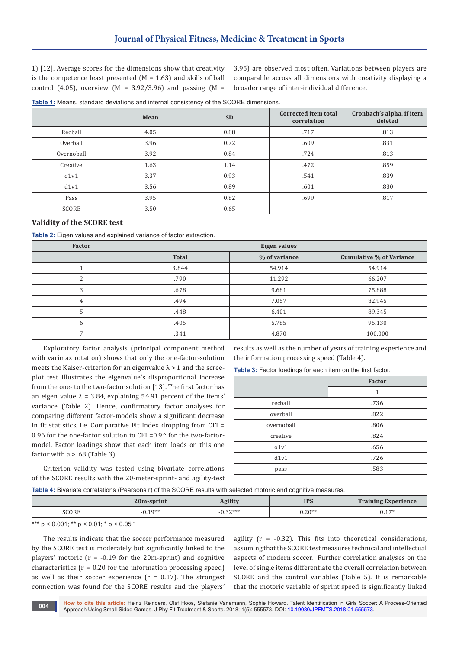1) [12]. Average scores for the dimensions show that creativity is the competence least presented  $(M = 1.63)$  and skills of ball control (4.05), overview (M =  $3.92/3.96$ ) and passing (M =

3.95) are observed most often. Variations between players are comparable across all dimensions with creativity displaying a broader range of inter-individual difference.

| <b>Table 1:</b> Means, standard deviations and internal consistency of the SCORE dimensions. |  |  |  |
|----------------------------------------------------------------------------------------------|--|--|--|
|                                                                                              |  |  |  |

|              | Mean | <b>SD</b> | Corrected item total<br>correlation | Cronbach's alpha, if item<br>deleted |
|--------------|------|-----------|-------------------------------------|--------------------------------------|
| Recball      | 4.05 | 0.88      | .717                                | .813                                 |
| Overball     | 3.96 | 0.72      | .609                                | .831                                 |
| Overnoball   | 3.92 | 0.84      | .724                                | .813                                 |
| Creative     | 1.63 | 1.14      | .472                                | .859                                 |
| 01v1         | 3.37 | 0.93      | .541                                | .839                                 |
| d1v1         | 3.56 | 0.89      | .601                                | .830                                 |
| Pass         | 3.95 | 0.82      | .699                                | .817                                 |
| <b>SCORE</b> | 3.50 | 0.65      |                                     |                                      |

## **Validity of the SCORE test**

**Table 2:** Eigen values and explained variance of factor extraction.

| Factor | <b>Eigen values</b> |               |                          |
|--------|---------------------|---------------|--------------------------|
|        | <b>Total</b>        | % of variance | Cumulative % of Variance |
|        | 3.844               | 54.914        | 54.914                   |
|        | .790                | 11.292        | 66.207                   |
| 3      | .678                | 9.681         | 75.888                   |
| 4      | .494                | 7.057         | 82.945                   |
|        | .448                | 6.401         | 89.345                   |
| h      | .405                | 5.785         | 95.130                   |
|        | .341                | 4.870         | 100.000                  |

Exploratory factor analysis (principal component method with varimax rotation) shows that only the one-factor-solution meets the Kaiser-criterion for an eigenvalue  $\lambda > 1$  and the screeplot test illustrates the eigenvalue's disproportional increase from the one- to the two-factor solution [13]. The first factor has an eigen value  $\lambda = 3.84$ , explaining 54.91 percent of the items' variance (Table 2). Hence, confirmatory factor analyses for comparing different factor-models show a significant decrease in fit statistics, i.e. Comparative Fit Index dropping from CFI = 0.96 for the one-factor solution to CFI = $0.9^{\circ}$  for the two-factormodel. Factor loadings show that each item loads on this one factor with  $a > .68$  (Table 3).

Criterion validity was tested using bivariate correlations of the SCORE results with the 20-meter-sprint- and agility-test results as well as the number of years of training experience and the information processing speed (Table 4).

**Table 3:** Factor loadings for each item on the first factor.

|            | <b>Factor</b> |
|------------|---------------|
|            | 1             |
| recball    | .736          |
| overball   | .822          |
| overnoball | .806          |
| creative   | .824          |
| 01v1       | .656          |
| d1v1       | .726          |
| pass       | .583          |

**Table 4:** Bivariate correlations (Pearsons r) of the SCORE results with selected motoric and cognitive measures.

|       | 20m-sprint | lorilitr<br>Aguit | <b>IPS</b> | <b>Training Experience</b> |
|-------|------------|-------------------|------------|----------------------------|
| SCORE | $-0.19**$  | つつ水水水<br><i>.</i> | $0.20**$   | $17*$<br>v.⊥               |
|       |            |                   |            |                            |

\*\*\*  $p$  < 0.001; \*\*  $p$  < 0.01; \*  $p$  < 0.05 "

The results indicate that the soccer performance measured by the SCORE test is moderately but significantly linked to the players' motoric ( $r = -0.19$  for the 20m-sprint) and cognitive characteristics  $(r = 0.20$  for the information processing speed) as well as their soccer experience  $(r = 0.17)$ . The strongest connection was found for the SCORE results and the players'

agility  $(r = -0.32)$ . This fits into theoretical considerations, assuming that the SCORE test measures technical and intellectual aspects of modern soccer. Further correlation analyses on the level of single items differentiate the overall correlation between SCORE and the control variables (Table 5). It is remarkable that the motoric variable of sprint speed is significantly linked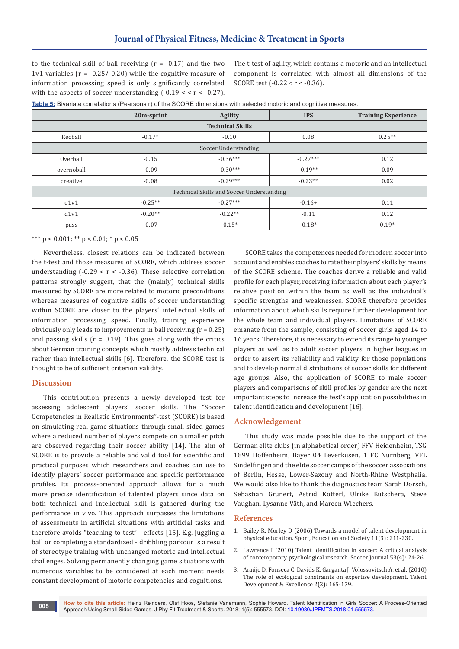to the technical skill of ball receiving  $(r = -0.17)$  and the two 1v1-variables ( $r = -0.25/-0.20$ ) while the cognitive measure of information processing speed is only significantly correlated with the aspects of soccer understanding  $(-0.19 < r < -0.27)$ .

The t-test of agility, which contains a motoric and an intellectual component is correlated with almost all dimensions of the SCORE test  $(-0.22 < r < -0.36)$ .

|  |  | Table 5: Bivariate correlations (Pearsons r) of the SCORE dimensions with selected motoric and cognitive measures. |  |
|--|--|--------------------------------------------------------------------------------------------------------------------|--|
|  |  |                                                                                                                    |  |

|                                           | 20m-sprint | Agility              | <b>IPS</b> | <b>Training Experience</b> |  |
|-------------------------------------------|------------|----------------------|------------|----------------------------|--|
| <b>Technical Skills</b>                   |            |                      |            |                            |  |
| Recball                                   | $-0.17*$   | $-0.10$              | 0.08       | $0.25**$                   |  |
|                                           |            | Soccer Understanding |            |                            |  |
| Overball                                  | $-0.15$    | $-0.36***$           | $-0.27***$ | 0.12                       |  |
| overnoball                                | $-0.09$    | $-0.30***$           | $-0.19**$  | 0.09                       |  |
| creative                                  | $-0.08$    | $-0.29***$           | $-0.23**$  | 0.02                       |  |
| Technical Skills and Soccer Understanding |            |                      |            |                            |  |
| 01v1                                      | $-0.25**$  | $-0.27***$           | $-0.16+$   | 0.11                       |  |
| d1v1                                      | $-0.20**$  | $-0.22**$            | $-0.11$    | 0.12                       |  |
| pass                                      | $-0.07$    | $-0.15*$             | $-0.18*$   | $0.19*$                    |  |

\*\*\*  $p < 0.001$ ; \*\*  $p < 0.01$ ; \*  $p < 0.05$ 

Nevertheless, closest relations can be indicated between the t-test and those measures of SCORE, which address soccer understanding  $(-0.29 < r < -0.36)$ . These selective correlation patterns strongly suggest, that the (mainly) technical skills measured by SCORE are more related to motoric preconditions whereas measures of cognitive skills of soccer understanding within SCORE are closer to the players' intellectual skills of information processing speed. Finally, training experience obviously only leads to improvements in ball receiving  $(r = 0.25)$ and passing skills ( $r = 0.19$ ). This goes along with the critics about German training concepts which mostly address technical rather than intellectual skills [6]. Therefore, the SCORE test is thought to be of sufficient criterion validity.

## **Discussion**

This contribution presents a newly developed test for assessing adolescent players' soccer skills. The "Soccer Competencies in Realistic Environments"-test (SCORE) is based on simulating real game situations through small-sided games where a reduced number of players compete on a smaller pitch are observed regarding their soccer ability [14]. The aim of SCORE is to provide a reliable and valid tool for scientific and practical purposes which researchers and coaches can use to identify players' soccer performance and specific performance profiles. Its process-oriented approach allows for a much more precise identification of talented players since data on both technical and intellectual skill is gathered during the performance in vivo. This approach surpasses the limitations of assessments in artificial situations with artificial tasks and therefore avoids "teaching-to-test" - effects [15]. E.g. juggling a ball or completing a standardized - dribbling parkour is a result of stereotype training with unchanged motoric and intellectual challenges. Solving permanently changing game situations with numerous variables to be considered at each moment needs constant development of motoric competencies and cognitions.

SCORE takes the competences needed for modern soccer into account and enables coaches to rate their players' skills by means of the SCORE scheme. The coaches derive a reliable and valid profile for each player, receiving information about each player's relative position within the team as well as the individual's specific strengths and weaknesses. SCORE therefore provides information about which skills require further development for the whole team and individual players. Limitations of SCORE emanate from the sample, consisting of soccer girls aged 14 to 16 years. Therefore, it is necessary to extend its range to younger players as well as to adult soccer players in higher leagues in order to assert its reliability and validity for those populations and to develop normal distributions of soccer skills for different age groups. Also, the application of SCORE to male soccer players and comparisons of skill profiles by gender are the next important steps to increase the test's application possibilities in talent identification and development [16].

#### **Acknowledgement**

This study was made possible due to the support of the German elite clubs (in alphabetical order) FFV Heidenheim, TSG 1899 Hoffenheim, Bayer 04 Leverkusen, 1 FC Nürnberg, VFL Sindelfingen and the elite soccer camps of the soccer associations of Berlin, Hesse, Lower-Saxony and North-Rhine Westphalia. We would also like to thank the diagnostics team Sarah Dorsch, Sebastian Grunert, Astrid Kötterl, Ulrike Kutschera, Steve Vaughan, Lysanne Väth, and Mareen Wiechers.

#### **References**

- 1. [Bailey R, Morley D \(2006\) Towards a model of talent development in](https://www.researchgate.net/publication/248975291_Towards_a_model_of_talent_development_in_physical_education)  [physical education. Sport, Education and Society 11\(3\): 211-230.](https://www.researchgate.net/publication/248975291_Towards_a_model_of_talent_development_in_physical_education)
- 2. [Lawrence I \(2010\) Talent identification in soccer: A critical analysis](http://connection.ebscohost.com/c/articles/33059720/talent-identification-soccer-critical-analysis-contemporary-psychological-researchhttp:/connection.ebscohost.com/c/articles/33059720/talent-identification-soccer-critical-analysis-contemporary-psychologi)  [of contemporary psychological research. Soccer Journal 53\(4\): 24-26.](http://connection.ebscohost.com/c/articles/33059720/talent-identification-soccer-critical-analysis-contemporary-psychological-researchhttp:/connection.ebscohost.com/c/articles/33059720/talent-identification-soccer-critical-analysis-contemporary-psychologi)
- 3. [Araújo D, Fonseca C, Davids K, Garganta J, Volossovitsch A, et al. \(2010\)](https://www.researchgate.net/publication/288750954_The_Role_of_Ecological_Constraints_on_Expertise_Development)  [The role of ecological constraints on expertise development. Talent](https://www.researchgate.net/publication/288750954_The_Role_of_Ecological_Constraints_on_Expertise_Development)  [Development & Excellence 2\(2\): 165-179.](https://www.researchgate.net/publication/288750954_The_Role_of_Ecological_Constraints_on_Expertise_Development)